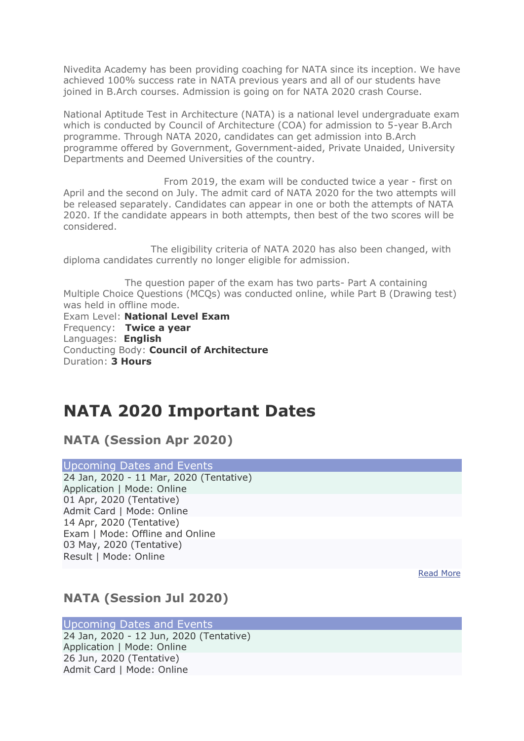Nivedita Academy has been providing coaching for NATA since its inception. We have achieved 100% success rate in NATA previous years and all of our students have joined in B.Arch courses. Admission is going on for NATA 2020 crash Course.

National Aptitude Test in Architecture (NATA) is a national level undergraduate exam which is conducted by Council of Architecture (COA) for admission to 5-year B.Arch programme. Through NATA 2020, candidates can get admission into B.Arch programme offered by Government, Government-aided, Private Unaided, University Departments and Deemed Universities of the country.

 From 2019, the exam will be conducted twice a year - first on April and the second on July. The admit card of NATA 2020 for the two attempts will be released separately. Candidates can appear in one or both the attempts of NATA 2020. If the candidate appears in both attempts, then best of the two scores will be considered.

 The eligibility criteria of NATA 2020 has also been changed, with diploma candidates currently no longer eligible for admission.

 The question paper of the exam has two parts- Part A containing Multiple Choice Questions (MCQs) was conducted online, while Part B (Drawing test) was held in offline mode.

Exam Level: **National Level Exam** Frequency: **Twice a year** Languages: **English** Conducting Body: **Council of Architecture** Duration: **3 Hours**

# **NATA 2020 Important Dates**

**NATA (Session Apr 2020)**

Upcoming Dates and Events 24 Jan, 2020 - 11 Mar, 2020 (Tentative) Application | Mode: Online 01 Apr, 2020 (Tentative) Admit Card | Mode: Online 14 Apr, 2020 (Tentative) Exam | Mode: Offline and Online 03 May, 2020 (Tentative) Result | Mode: Online

[Read More](javascript:void(0);)

### **NATA (Session Jul 2020)**

Upcoming Dates and Events

24 Jan, 2020 - 12 Jun, 2020 (Tentative) Application | Mode: Online 26 Jun, 2020 (Tentative) Admit Card | Mode: Online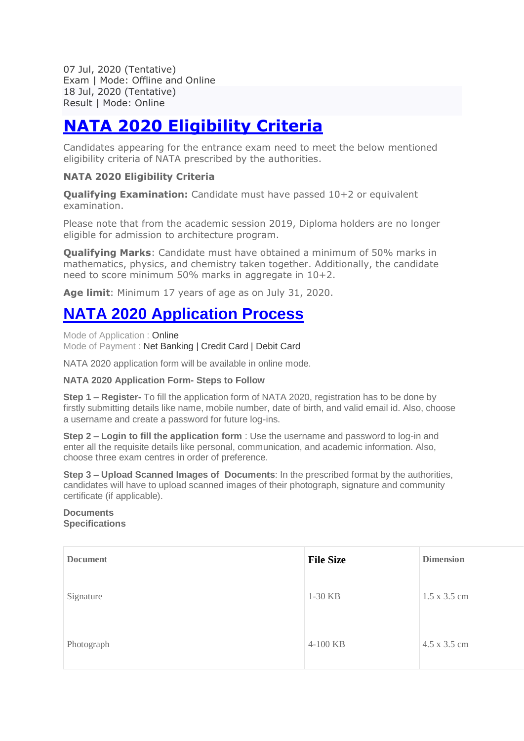07 Jul, 2020 (Tentative) Exam | Mode: Offline and Online 18 Jul, 2020 (Tentative) Result | Mode: Online

# **[NATA 2020 Eligibility Criteria](https://engineering.careers360.com/articles/nata-eligibility-criteria)**

Candidates appearing for the entrance exam need to meet the below mentioned eligibility criteria of NATA prescribed by the authorities.

#### **NATA 2020 Eligibility Criteria**

**Qualifying Examination:** Candidate must have passed 10+2 or equivalent examination.

Please note that from the academic session 2019, Diploma holders are no longer eligible for admission to architecture program.

**Qualifying Marks**: Candidate must have obtained a minimum of 50% marks in mathematics, physics, and chemistry taken together. Additionally, the candidate need to score minimum 50% marks in aggregate in 10+2.

**Age limit**: Minimum 17 years of age as on July 31, 2020.

# **[NATA 2020 Application Process](https://engineering.careers360.com/articles/nata-application-form)**

Mode of Application : Online Mode of Payment : Net Banking | Credit Card | Debit Card

NATA 2020 application form will be available in online mode.

#### **NATA 2020 Application Form- Steps to Follow**

**Step 1 – Register-** To fill the application form of NATA 2020, registration has to be done by firstly submitting details like name, mobile number, date of birth, and valid email id. Also, choose a username and create a password for future log-ins.

**Step 2 – Login to fill the application form** : Use the username and password to log-in and enter all the requisite details like personal, communication, and academic information. Also, choose three exam centres in order of preference.

**Step 3 – Upload Scanned Images of Documents**: In the prescribed format by the authorities, candidates will have to upload scanned images of their photograph, signature and community certificate (if applicable).

#### **Documents Specifications**

| <b>Document</b> | <b>File Size</b> | <b>Dimension</b> |
|-----------------|------------------|------------------|
| Signature       | 1-30 KB          | 1.5 x 3.5 cm     |
| Photograph      | 4-100 KB         | 4.5 x 3.5 cm     |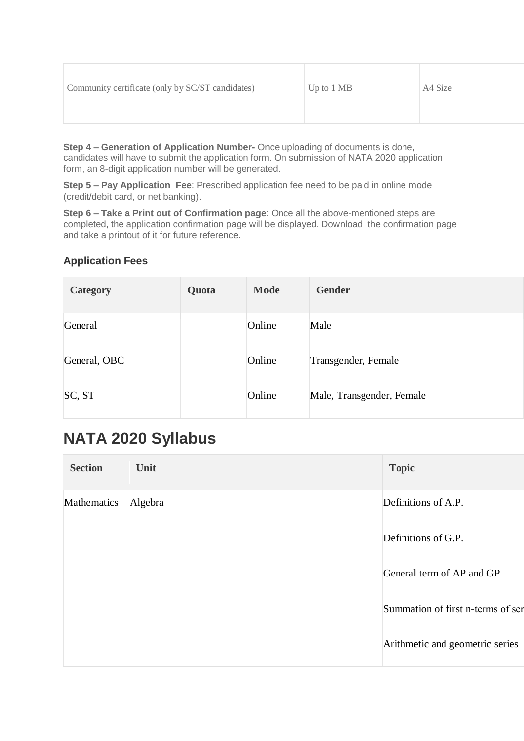|--|

**Step 4 – Generation of Application Number-** Once uploading of documents is done, candidates will have to submit the application form. On submission of NATA 2020 application form, an 8-digit application number will be generated.

**Step 5 – Pay Application Fee**: Prescribed application fee need to be paid in online mode (credit/debit card, or net banking).

**Step 6 – Take a Print out of Confirmation page**: Once all the above-mentioned steps are completed, the application confirmation page will be displayed. Download the confirmation page and take a printout of it for future reference.

#### **Application Fees**

| <b>Category</b> | Quota | <b>Mode</b> | <b>Gender</b>             |
|-----------------|-------|-------------|---------------------------|
| General         |       | Online      | Male                      |
| General, OBC    |       | Online      | Transgender, Female       |
| SC, ST          |       | Online      | Male, Transgender, Female |

# **NATA 2020 Syllabus**

| <b>Section</b> | Unit    | <b>Topic</b>                      |
|----------------|---------|-----------------------------------|
| Mathematics    | Algebra | Definitions of A.P.               |
|                |         | Definitions of G.P.               |
|                |         | General term of AP and GP         |
|                |         | Summation of first n-terms of ser |
|                |         | Arithmetic and geometric series   |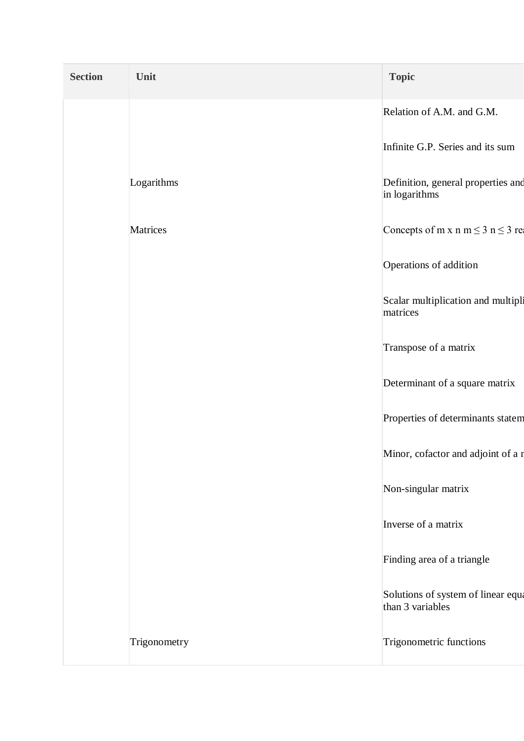| <b>Section</b> | Unit         | <b>Topic</b>                                           |
|----------------|--------------|--------------------------------------------------------|
|                |              | Relation of A.M. and G.M.                              |
|                |              | Infinite G.P. Series and its sum                       |
|                | Logarithms   | Definition, general properties and<br>in logarithms    |
|                | Matrices     | Concepts of m x n m $\leq$ 3 n $\leq$ 3 res            |
|                |              | Operations of addition                                 |
|                |              | Scalar multiplication and multipli<br>matrices         |
|                |              | Transpose of a matrix                                  |
|                |              | Determinant of a square matrix                         |
|                |              | Properties of determinants statem                      |
|                |              | Minor, cofactor and adjoint of a r                     |
|                |              | Non-singular matrix                                    |
|                |              | Inverse of a matrix                                    |
|                |              | Finding area of a triangle                             |
|                |              | Solutions of system of linear equa<br>than 3 variables |
|                | Trigonometry | Trigonometric functions                                |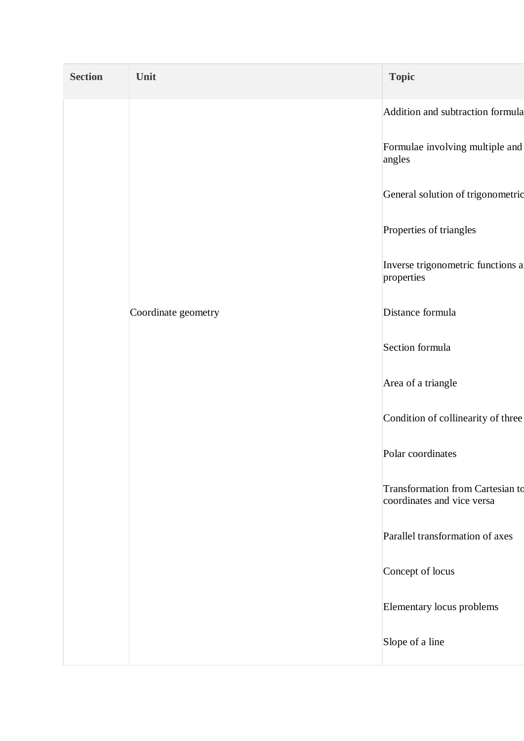| <b>Section</b> | Unit                | <b>Topic</b>                                                          |
|----------------|---------------------|-----------------------------------------------------------------------|
|                |                     | Addition and subtraction formula                                      |
|                |                     | Formulae involving multiple and<br>angles                             |
|                |                     | General solution of trigonometric                                     |
|                |                     | Properties of triangles                                               |
|                |                     | Inverse trigonometric functions a<br>properties                       |
|                | Coordinate geometry | Distance formula                                                      |
|                |                     | Section formula                                                       |
|                |                     | Area of a triangle                                                    |
|                |                     | Condition of collinearity of three                                    |
|                |                     | Polar coordinates                                                     |
|                |                     | <b>Transformation from Cartesian to</b><br>coordinates and vice versa |
|                |                     | Parallel transformation of axes                                       |
|                |                     | Concept of locus                                                      |
|                |                     | Elementary locus problems                                             |
|                |                     | Slope of a line                                                       |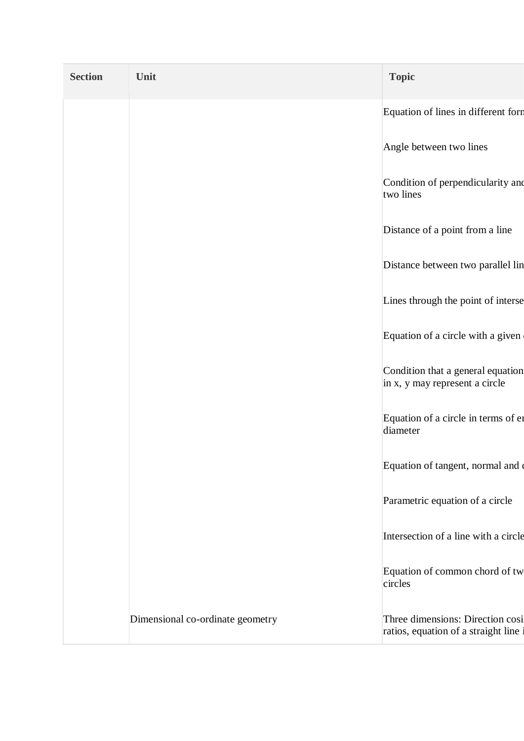| <b>Section</b> | Unit                             | <b>Topic</b>                                                            |
|----------------|----------------------------------|-------------------------------------------------------------------------|
|                |                                  | Equation of lines in different form                                     |
|                |                                  | Angle between two lines                                                 |
|                |                                  | Condition of perpendicularity and<br>two lines                          |
|                |                                  | Distance of a point from a line                                         |
|                |                                  | Distance between two parallel lin                                       |
|                |                                  | Lines through the point of interse                                      |
|                |                                  | Equation of a circle with a given                                       |
|                |                                  | Condition that a general equation<br>in x, y may represent a circle     |
|                |                                  | Equation of a circle in terms of en<br>diameter                         |
|                |                                  | Equation of tangent, normal and                                         |
|                |                                  | Parametric equation of a circle                                         |
|                |                                  | Intersection of a line with a circle                                    |
|                |                                  | Equation of common chord of tw<br>circles                               |
|                | Dimensional co-ordinate geometry | Three dimensions: Direction cosi<br>ratios, equation of a straight line |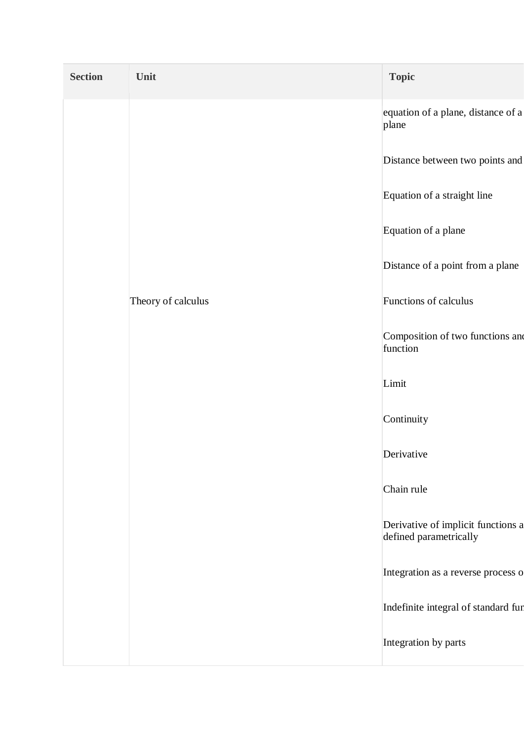| <b>Section</b> | Unit               | <b>Topic</b>                                                 |
|----------------|--------------------|--------------------------------------------------------------|
|                |                    | equation of a plane, distance of a<br>plane                  |
|                |                    | Distance between two points and                              |
|                |                    | Equation of a straight line                                  |
|                |                    | Equation of a plane                                          |
|                |                    | Distance of a point from a plane                             |
|                | Theory of calculus | Functions of calculus                                        |
|                |                    | Composition of two functions and<br>function                 |
|                |                    | Limit                                                        |
|                |                    | Continuity                                                   |
|                |                    | Derivative                                                   |
|                |                    | Chain rule                                                   |
|                |                    | Derivative of implicit functions a<br>defined parametrically |
|                |                    | Integration as a reverse process o                           |
|                |                    | Indefinite integral of standard fur                          |
|                |                    | Integration by parts                                         |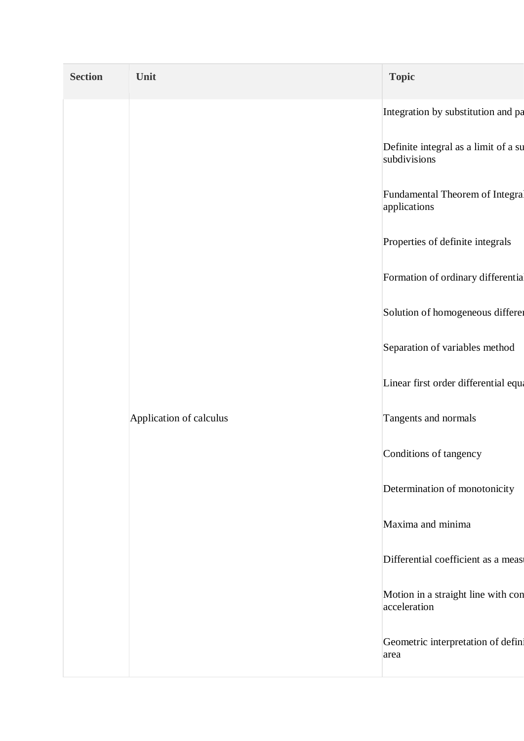| Integration by substitution and pa   |
|--------------------------------------|
| Definite integral as a limit of a su |
| Fundamental Theorem of Integral      |
| Properties of definite integrals     |
| Formation of ordinary differentia    |
| Solution of homogeneous differer     |
| Separation of variables method       |
| Linear first order differential equa |
|                                      |
|                                      |
| Determination of monotonicity        |
|                                      |
| Differential coefficient as a measu  |
| Motion in a straight line with con   |
| Geometric interpretation of defin:   |
|                                      |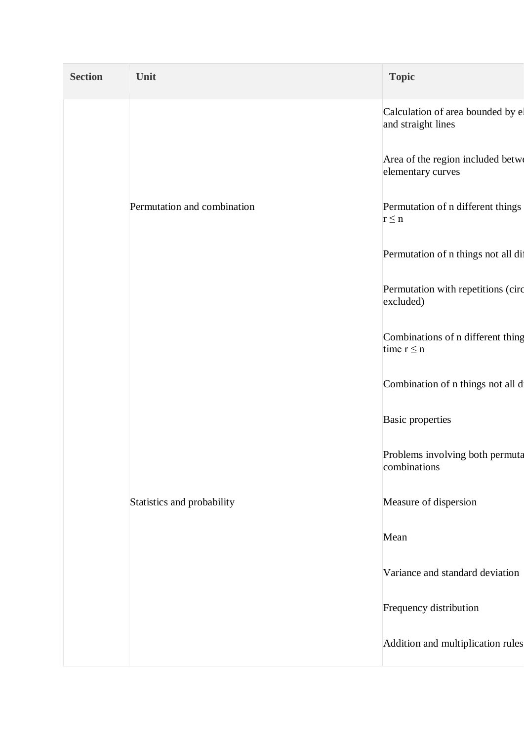| <b>Section</b> | Unit                        | <b>Topic</b>                                            |
|----------------|-----------------------------|---------------------------------------------------------|
|                |                             | Calculation of area bounded by el<br>and straight lines |
|                |                             | Area of the region included betwe<br>elementary curves  |
|                | Permutation and combination | Permutation of n different things<br>$r \leq n$         |
|                |                             | Permutation of n things not all dif                     |
|                |                             | Permutation with repetitions (circ<br>excluded)         |
|                |                             | Combinations of n different thing<br>time $r \leq n$    |
|                |                             | Combination of n things not all d                       |
|                |                             | <b>Basic properties</b>                                 |
|                |                             | Problems involving both permuta<br>combinations         |
|                | Statistics and probability  | Measure of dispersion                                   |
|                |                             | Mean                                                    |
|                |                             | Variance and standard deviation                         |
|                |                             | Frequency distribution                                  |
|                |                             | Addition and multiplication rules                       |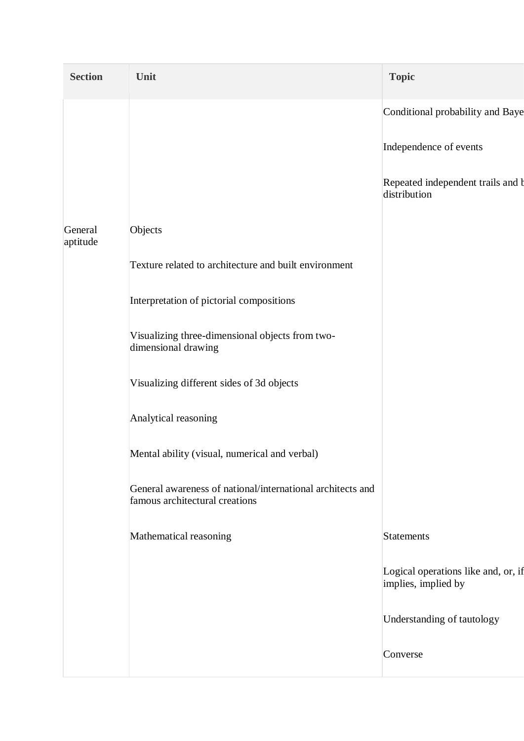| <b>Section</b>      | Unit                                                                                         | <b>Topic</b>                                               |
|---------------------|----------------------------------------------------------------------------------------------|------------------------------------------------------------|
|                     |                                                                                              | Conditional probability and Baye                           |
|                     |                                                                                              | Independence of events                                     |
|                     |                                                                                              | Repeated independent trails and b<br>distribution          |
| General<br>aptitude | Objects                                                                                      |                                                            |
|                     | Texture related to architecture and built environment                                        |                                                            |
|                     | Interpretation of pictorial compositions                                                     |                                                            |
|                     | Visualizing three-dimensional objects from two-<br>dimensional drawing                       |                                                            |
|                     | Visualizing different sides of 3d objects                                                    |                                                            |
|                     | Analytical reasoning                                                                         |                                                            |
|                     | Mental ability (visual, numerical and verbal)                                                |                                                            |
|                     | General awareness of national/international architects and<br>famous architectural creations |                                                            |
|                     | Mathematical reasoning                                                                       | <b>Statements</b>                                          |
|                     |                                                                                              | Logical operations like and, or, if<br>implies, implied by |
|                     |                                                                                              | Understanding of tautology                                 |
|                     |                                                                                              | Converse                                                   |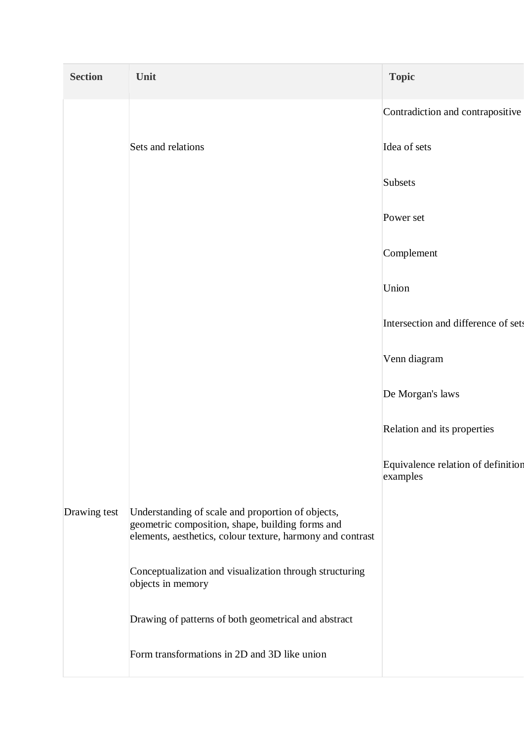| <b>Section</b> | Unit                                                                                                                                                                | <b>Topic</b>                                   |
|----------------|---------------------------------------------------------------------------------------------------------------------------------------------------------------------|------------------------------------------------|
|                |                                                                                                                                                                     | Contradiction and contrapositive               |
|                | Sets and relations                                                                                                                                                  | Idea of sets                                   |
|                |                                                                                                                                                                     | Subsets                                        |
|                |                                                                                                                                                                     | Power set                                      |
|                |                                                                                                                                                                     | Complement                                     |
|                |                                                                                                                                                                     | Union                                          |
|                |                                                                                                                                                                     | Intersection and difference of sets            |
|                |                                                                                                                                                                     | Venn diagram                                   |
|                |                                                                                                                                                                     | De Morgan's laws                               |
|                |                                                                                                                                                                     | Relation and its properties                    |
|                |                                                                                                                                                                     | Equivalence relation of definition<br>examples |
| Drawing test   | Understanding of scale and proportion of objects,<br>geometric composition, shape, building forms and<br>elements, aesthetics, colour texture, harmony and contrast |                                                |
|                | Conceptualization and visualization through structuring<br>objects in memory                                                                                        |                                                |
|                | Drawing of patterns of both geometrical and abstract                                                                                                                |                                                |
|                | Form transformations in 2D and 3D like union                                                                                                                        |                                                |